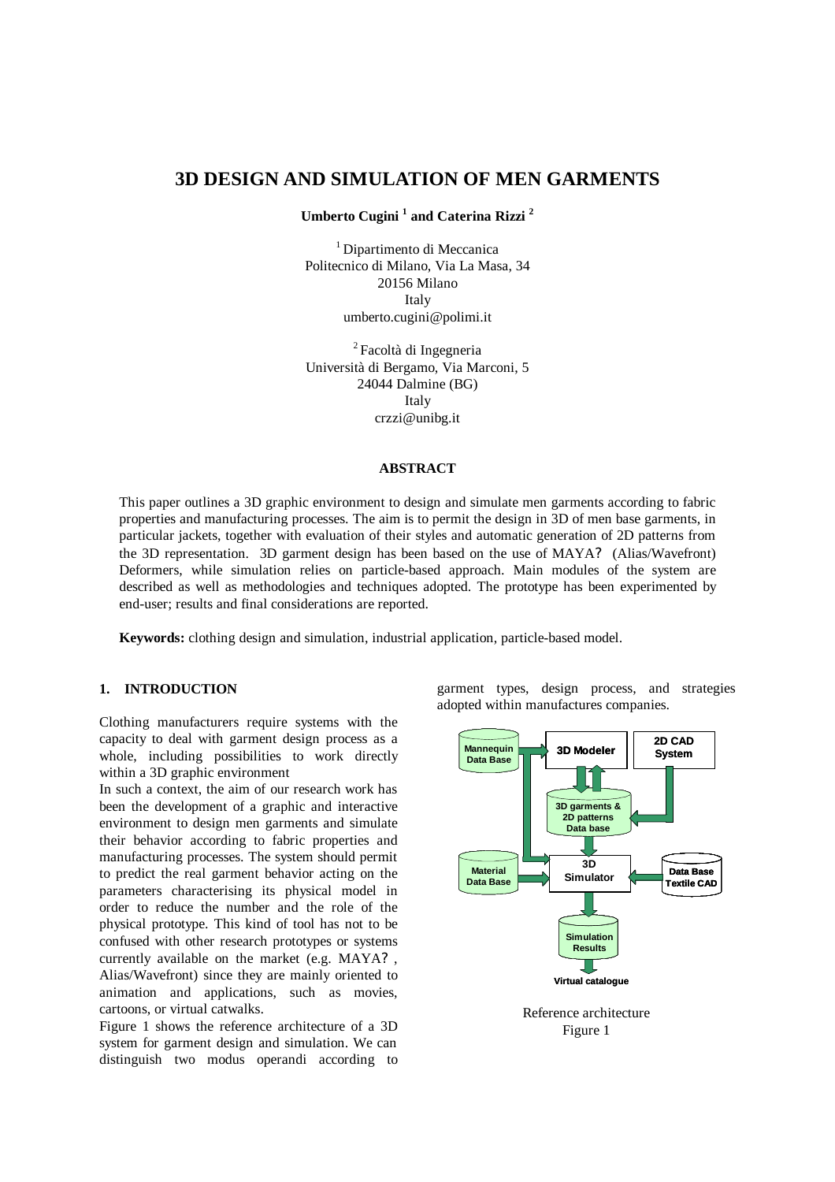# **3D DESIGN AND SIMULATION OF MEN GARMENTS**

**Umberto Cugini <sup>1</sup> and Caterina Rizzi <sup>2</sup>**

<sup>1</sup> Dipartimento di Meccanica Politecnico di Milano, Via La Masa, 34 20156 Milano Italy umberto.cugini@polimi.it

<sup>2</sup>Facoltà di Ingegneria Università di Bergamo, Via Marconi, 5 24044 Dalmine (BG) Italy crzzi@unibg.it

#### **ABSTRACT**

This paper outlines a 3D graphic environment to design and simulate men garments according to fabric properties and manufacturing processes. The aim is to permit the design in 3D of men base garments, in particular jackets, together with evaluation of their styles and automatic generation of 2D patterns from the 3D representation. 3D garment design has been based on the use of MAYA? (Alias/Wavefront) Deformers, while simulation relies on particle-based approach. Main modules of the system are described as well as methodologies and techniques adopted. The prototype has been experimented by end-user; results and final considerations are reported.

**Keywords:** clothing design and simulation, industrial application, particle-based model.

## **1. INTRODUCTION**

Clothing manufacturers require systems with the capacity to deal with garment design process as a whole, including possibilities to work directly within a 3D graphic environment

In such a context, the aim of our research work has been the development of a graphic and interactive environment to design men garments and simulate their behavior according to fabric properties and manufacturing processes. The system should permit to predict the real garment behavior acting on the parameters characterising its physical model in order to reduce the number and the role of the physical prototype. This kind of tool has not to be confused with other research prototypes or systems currently available on the market (e.g. MAYA? , Alias/Wavefront) since they are mainly oriented to animation and applications, such as movies, cartoons, or virtual catwalks.

Figure 1 shows the reference architecture of a 3D system for garment design and simulation. We can distinguish two modus operandi according to garment types, design process, and strategies adopted within manufactures companies.



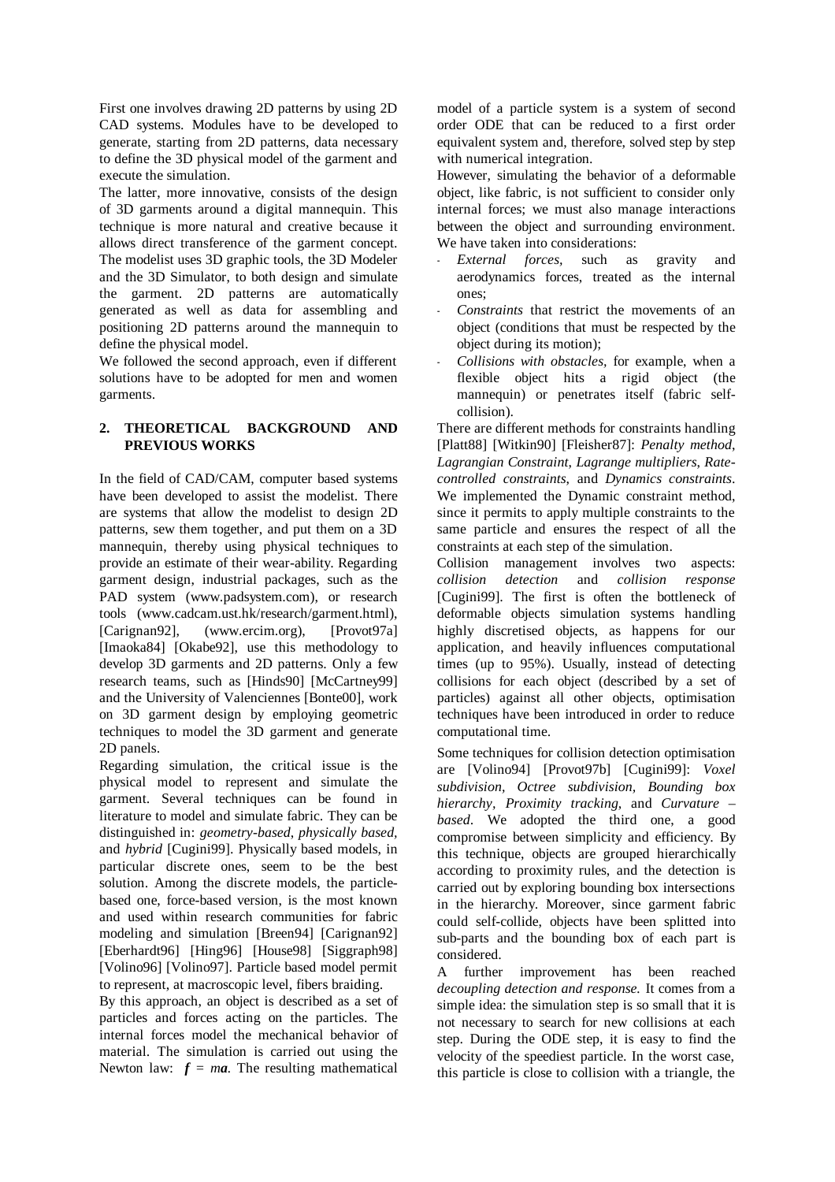First one involves drawing 2D patterns by using 2D CAD systems. Modules have to be developed to generate, starting from 2D patterns, data necessary to define the 3D physical model of the garment and execute the simulation.

The latter, more innovative, consists of the design of 3D garments around a digital mannequin. This technique is more natural and creative because it allows direct transference of the garment concept. The modelist uses 3D graphic tools, the 3D Modeler and the 3D Simulator, to both design and simulate the garment. 2D patterns are automatically generated as well as data for assembling and positioning 2D patterns around the mannequin to define the physical model.

We followed the second approach, even if different solutions have to be adopted for men and women garments.

# **2. THEORETICAL BACKGROUND AND PREVIOUS WORKS**

In the field of CAD/CAM, computer based systems have been developed to assist the modelist. There are systems that allow the modelist to design 2D patterns, sew them together, and put them on a 3D mannequin, thereby using physical techniques to provide an estimate of their wear-ability. Regarding garment design, industrial packages, such as the PAD system (www.padsystem.com), or research tools (www.cadcam.ust.hk/research/garment.html), [Carignan92], (www.ercim.org), [Provot97a] [Imaoka84] [Okabe92], use this methodology to develop 3D garments and 2D patterns. Only a few research teams, such as [Hinds90] [McCartney99] and the University of Valenciennes [Bonte00], work on 3D garment design by employing geometric techniques to model the 3D garment and generate 2D panels.

Regarding simulation, the critical issue is the physical model to represent and simulate the garment. Several techniques can be found in literature to model and simulate fabric. They can be distinguished in: *geometry-based*, *physically based,* and *hybrid* [Cugini99]. Physically based models, in particular discrete ones, seem to be the best solution. Among the discrete models, the particlebased one, force-based version, is the most known and used within research communities for fabric modeling and simulation [Breen94] [Carignan92] [Eberhardt96] [Hing96] [House98] [Siggraph98] [Volino96] [Volino97]. Particle based model permit to represent, at macroscopic level, fibers braiding.

By this approach, an object is described as a set of particles and forces acting on the particles. The internal forces model the mechanical behavior of material. The simulation is carried out using the Newton law:  $f = ma$ . The resulting mathematical model of a particle system is a system of second order ODE that can be reduced to a first order equivalent system and, therefore, solved step by step with numerical integration.

However, simulating the behavior of a deformable object, like fabric, is not sufficient to consider only internal forces; we must also manage interactions between the object and surrounding environment. We have taken into considerations:

- *External forces,* such as gravity and aerodynamics forces, treated as the internal ones;
- *Constraints* that restrict the movements of an object (conditions that must be respected by the object during its motion);
- *Collisions with obstacles,* for example, when a flexible object hits a rigid object (the mannequin) or penetrates itself (fabric selfcollision).

There are different methods for constraints handling [Platt88] [Witkin90] [Fleisher87]: *Penalty method*, *Lagrangian Constraint*, *Lagrange multipliers*, *Ratecontrolled constraints*, and *Dynamics constraints*. We implemented the Dynamic constraint method, since it permits to apply multiple constraints to the same particle and ensures the respect of all the constraints at each step of the simulation.

Collision management involves two aspects: *collision detection* and *collision response* [Cugini99]. The first is often the bottleneck of deformable objects simulation systems handling highly discretised objects, as happens for our application, and heavily influences computational times (up to 95%). Usually, instead of detecting collisions for each object (described by a set of particles) against all other objects, optimisation techniques have been introduced in order to reduce computational time.

Some techniques for collision detection optimisation are [Volino94] [Provot97b] [Cugini99]: *Voxel subdivision, Octree subdivision, Bounding box hierarchy, Proximity tracking*, and *Curvature – based*. We adopted the third one, a good compromise between simplicity and efficiency. By this technique, objects are grouped hierarchically according to proximity rules, and the detection is carried out by exploring bounding box intersections in the hierarchy. Moreover, since garment fabric could self-collide, objects have been splitted into sub-parts and the bounding box of each part is considered.

A further improvement has been reached *decoupling detection and response.* It comes from a simple idea: the simulation step is so small that it is not necessary to search for new collisions at each step. During the ODE step, it is easy to find the velocity of the speediest particle. In the worst case, this particle is close to collision with a triangle, the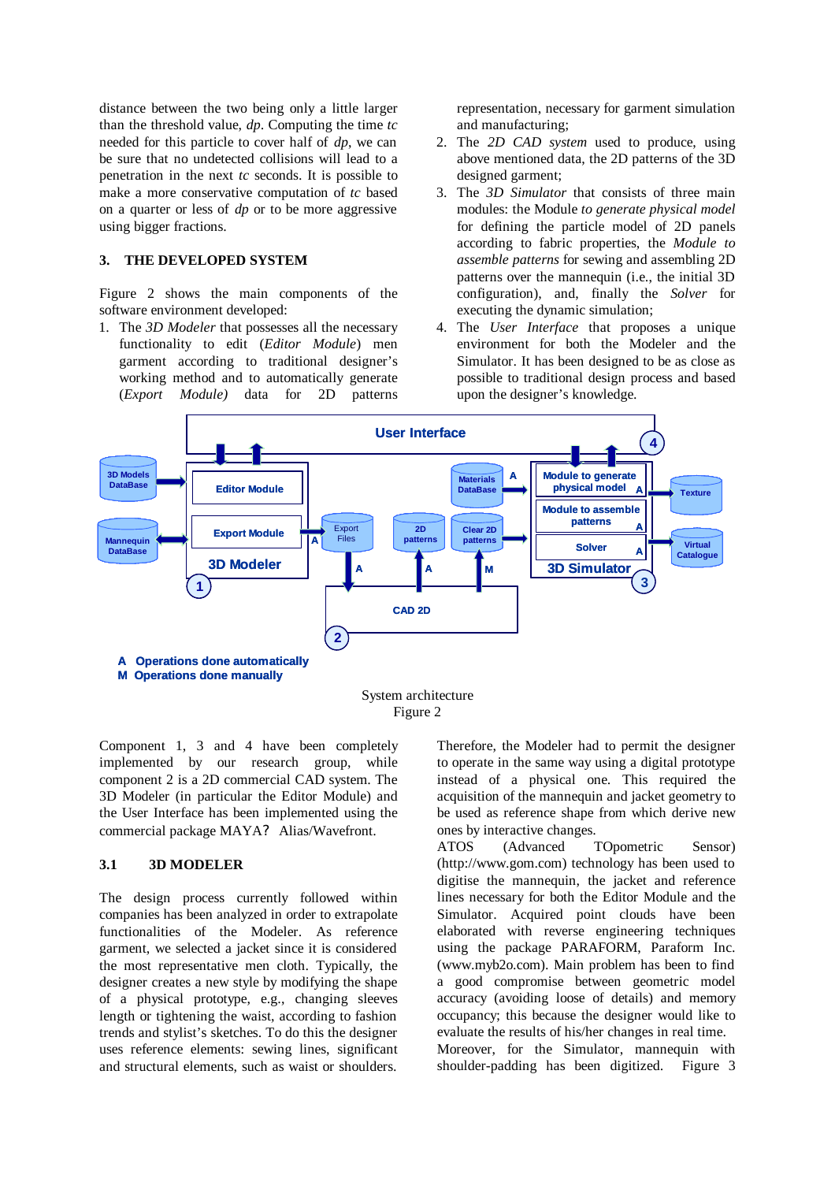distance between the two being only a little larger than the threshold value, *dp*. Computing the time *tc* needed for this particle to cover half of *dp*, we can be sure that no undetected collisions will lead to a penetration in the next *tc* seconds. It is possible to make a more conservative computation of *tc* based on a quarter or less of *dp* or to be more aggressive using bigger fractions.

#### **3. THE DEVELOPED SYSTEM**

Figure 2 shows the main components of the software environment developed:

1. The *3D Modeler* that possesses all the necessary functionality to edit (*Editor Module*) men garment according to traditional designer's working method and to automatically generate (*Export Module)* data for 2D patterns

representation, necessary for garment simulation and manufacturing;

- 2. The *2D CAD system* used to produce, using above mentioned data, the 2D patterns of the 3D designed garment;
- 3. The *3D Simulator* that consists of three main modules: the Module *to generate physical model*  for defining the particle model of 2D panels according to fabric properties, the *Module to assemble patterns* for sewing and assembling 2D patterns over the mannequin (i.e., the initial 3D configuration), and, finally the *Solver* for executing the dynamic simulation;
- 4. The *User Interface* that proposes a unique environment for both the Modeler and the Simulator. It has been designed to be as close as possible to traditional design process and based upon the designer's knowledge.



Figure 2

Component 1, 3 and 4 have been completely implemented by our research group, while component 2 is a 2D commercial CAD system. The 3D Modeler (in particular the Editor Module) and the User Interface has been implemented using the commercial package MAYA? Alias/Wavefront.

### **3.1 3D MODELER**

The design process currently followed within companies has been analyzed in order to extrapolate functionalities of the Modeler. As reference garment, we selected a jacket since it is considered the most representative men cloth. Typically, the designer creates a new style by modifying the shape of a physical prototype, e.g., changing sleeves length or tightening the waist, according to fashion trends and stylist's sketches. To do this the designer uses reference elements: sewing lines, significant and structural elements, such as waist or shoulders.

Therefore, the Modeler had to permit the designer to operate in the same way using a digital prototype instead of a physical one. This required the acquisition of the mannequin and jacket geometry to be used as reference shape from which derive new ones by interactive changes.

ATOS (Advanced TOpometric Sensor) (http://www.gom.com) technology has been used to digitise the mannequin, the jacket and reference lines necessary for both the Editor Module and the Simulator. Acquired point clouds have been elaborated with reverse engineering techniques using the package PARAFORM, Paraform Inc. (www.myb2o.com). Main problem has been to find a good compromise between geometric model accuracy (avoiding loose of details) and memory occupancy; this because the designer would like to evaluate the results of his/her changes in real time. Moreover, for the Simulator, mannequin with shoulder-padding has been digitized. Figure 3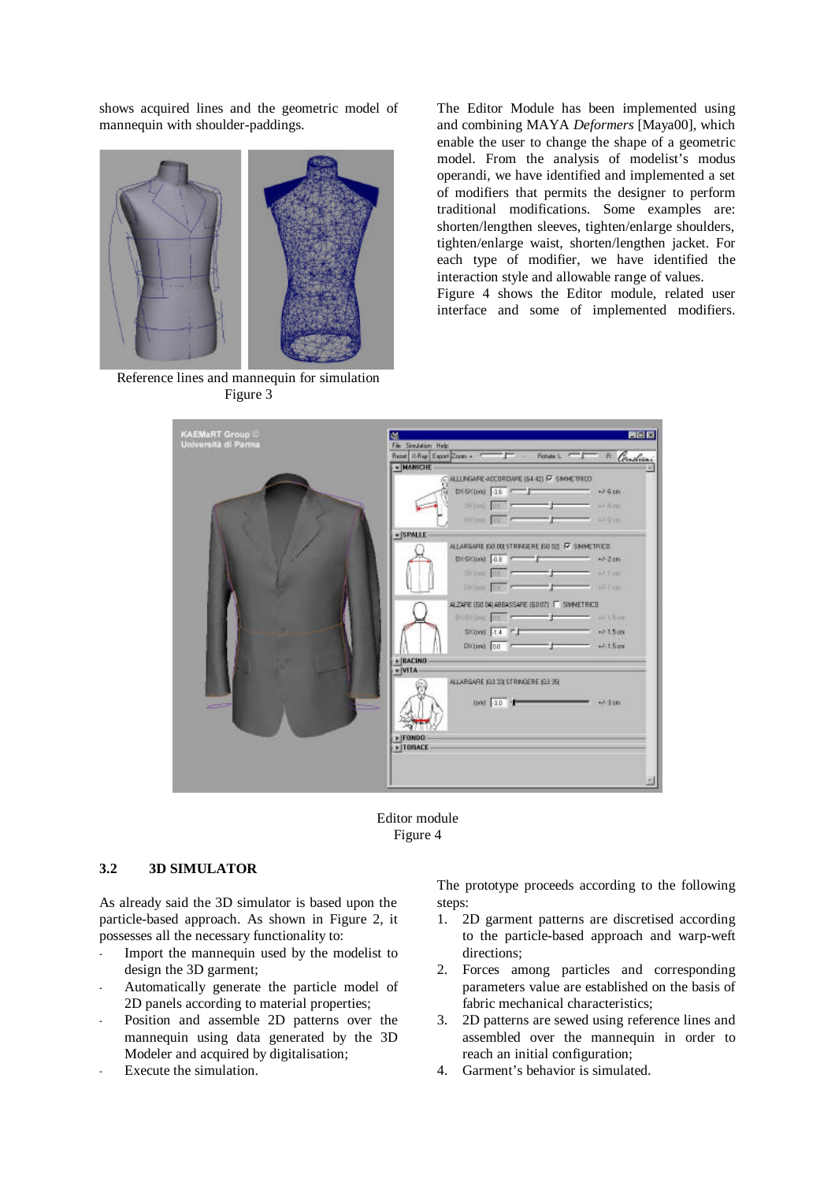shows acquired lines and the geometric model of mannequin with shoulder-paddings.



Reference lines and mannequin for simulation Figure 3

The Editor Module has been implemented using and combining MAYA *Deformers* [Maya00], which enable the user to change the shape of a geometric model. From the analysis of modelist's modus operandi, we have identified and implemented a set of modifiers that permits the designer to perform traditional modifications. Some examples are: shorten/lengthen sleeves, tighten/enlarge shoulders, tighten/enlarge waist, shorten/lengthen jacket. For each type of modifier, we have identified the interaction style and allowable range of values. Figure 4 shows the Editor module, related user

interface and some of implemented modifiers.

| <b>KAEMaRT Group C</b><br>Università di Parma | <b>PIER</b><br>U\$                                                                                                                                                                                                            |
|-----------------------------------------------|-------------------------------------------------------------------------------------------------------------------------------------------------------------------------------------------------------------------------------|
|                                               | File Simulation Help                                                                                                                                                                                                          |
|                                               | Read XRay Export Zoon + T + Rather L T R Condices                                                                                                                                                                             |
|                                               | + MANICHE<br>C ALLUNGARE ACCORDANE (64-42) F7 SIMMETRICO                                                                                                                                                                      |
|                                               |                                                                                                                                                                                                                               |
|                                               | DM-SK(00) 3.6<br>$+1.5 \text{ cm}$                                                                                                                                                                                            |
|                                               | Skillend Billion Press, and Press<br>william.                                                                                                                                                                                 |
|                                               | Division and Company of<br>The states                                                                                                                                                                                         |
|                                               | $+$ SPALLE                                                                                                                                                                                                                    |
|                                               | ALLARGARE IGO DOI STRINGERE IGO O21 R SIMMETRICO                                                                                                                                                                              |
|                                               | DN-SK(00) 0.8<br>$- +1.200$                                                                                                                                                                                                   |
|                                               | <b>SKYLINE BULLET</b><br>$-144$<br>$  -$                                                                                                                                                                                      |
|                                               |                                                                                                                                                                                                                               |
|                                               | Divisor River Press<br>— r<br>$-1 + 1$ cm                                                                                                                                                                                     |
|                                               | ALZARE (GODA) ABBASSARE (GOO7) IT SIMMETRICO                                                                                                                                                                                  |
|                                               | Dictionary and The Company of the Company of the Company of the Company of the Company of the Company of the Company of the Company of the Company of the Company of the Company of the Company of the Company of the Company |
|                                               | SK000 1.4 F<br>$+15$ on                                                                                                                                                                                                       |
|                                               | $+1.5$ cm                                                                                                                                                                                                                     |
|                                               | $0K$ (cm) $0.0$                                                                                                                                                                                                               |
|                                               | » BACING                                                                                                                                                                                                                      |
|                                               | v VITA-                                                                                                                                                                                                                       |
|                                               | ALLARGARE (G3 33) STRINGERE (G3 35)                                                                                                                                                                                           |
|                                               | $000 - 40$<br># +1-3 00                                                                                                                                                                                                       |
|                                               |                                                                                                                                                                                                                               |
|                                               |                                                                                                                                                                                                                               |
|                                               | » FONDO                                                                                                                                                                                                                       |
|                                               | » TORACE                                                                                                                                                                                                                      |
|                                               |                                                                                                                                                                                                                               |
|                                               |                                                                                                                                                                                                                               |
|                                               |                                                                                                                                                                                                                               |



## **3.2 3D SIMULATOR**

As already said the 3D simulator is based upon the particle-based approach. As shown in Figure 2, it possesses all the necessary functionality to:

- Import the mannequin used by the modelist to design the 3D garment;
- Automatically generate the particle model of 2D panels according to material properties;
- Position and assemble 2D patterns over the mannequin using data generated by the 3D Modeler and acquired by digitalisation;
- Execute the simulation.

The prototype proceeds according to the following steps:

- 1. 2D garment patterns are discretised according to the particle-based approach and warp-weft directions;
- 2. Forces among particles and corresponding parameters value are established on the basis of fabric mechanical characteristics;
- 3. 2D patterns are sewed using reference lines and assembled over the mannequin in order to reach an initial configuration;
- 4. Garment's behavior is simulated.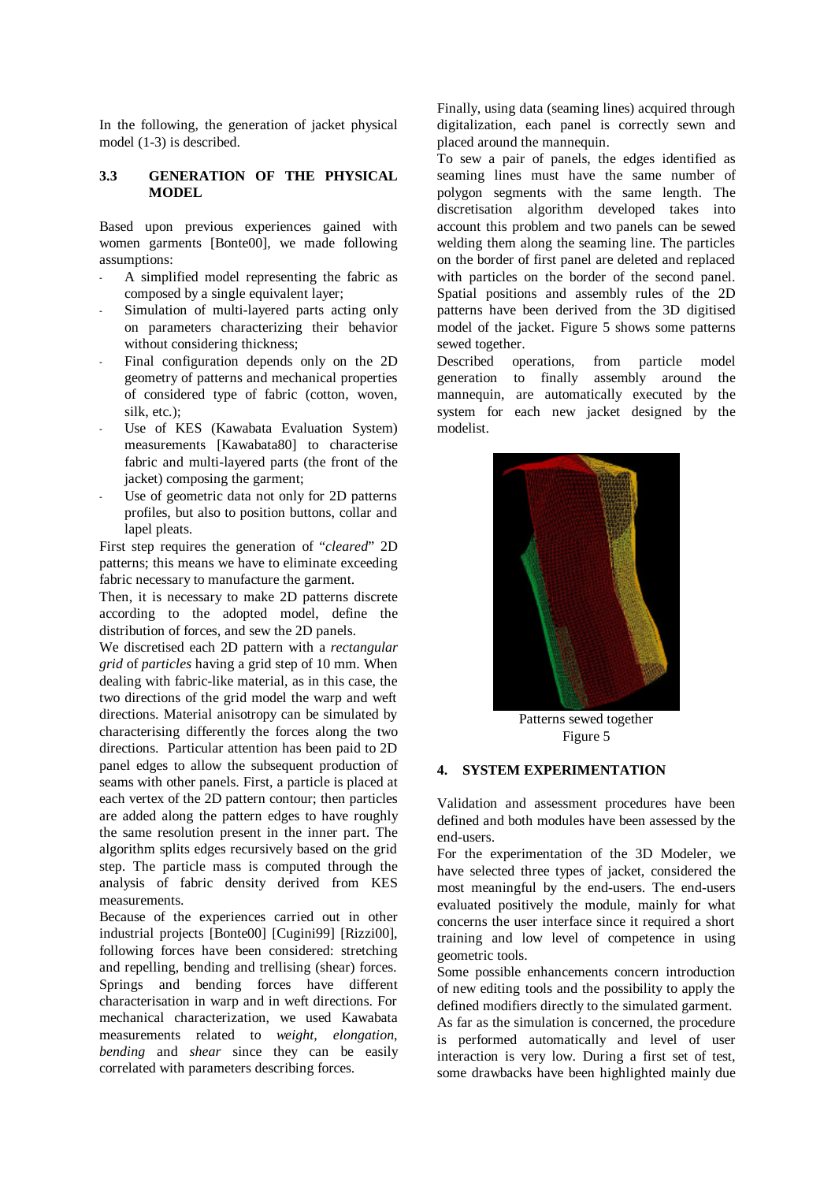In the following, the generation of jacket physical model (1-3) is described.

### **3.3 GENERATION OF THE PHYSICAL MODEL**

Based upon previous experiences gained with women garments [Bonte00], we made following assumptions:

- A simplified model representing the fabric as composed by a single equivalent layer;
- Simulation of multi-layered parts acting only on parameters characterizing their behavior without considering thickness;
- Final configuration depends only on the 2D geometry of patterns and mechanical properties of considered type of fabric (cotton, woven, silk, etc.):
- Use of KES (Kawabata Evaluation System) measurements [Kawabata80] to characterise fabric and multi-layered parts (the front of the jacket) composing the garment;
- Use of geometric data not only for 2D patterns profiles, but also to position buttons, collar and lapel pleats.

First step requires the generation of "*cleared*" 2D patterns; this means we have to eliminate exceeding fabric necessary to manufacture the garment.

Then, it is necessary to make 2D patterns discrete according to the adopted model, define the distribution of forces, and sew the 2D panels.

We discretised each 2D pattern with a *rectangular grid* of *particles* having a grid step of 10 mm. When dealing with fabric-like material, as in this case, the two directions of the grid model the warp and weft directions. Material anisotropy can be simulated by characterising differently the forces along the two directions. Particular attention has been paid to 2D panel edges to allow the subsequent production of seams with other panels. First, a particle is placed at each vertex of the 2D pattern contour; then particles are added along the pattern edges to have roughly the same resolution present in the inner part. The algorithm splits edges recursively based on the grid step. The particle mass is computed through the analysis of fabric density derived from KES measurements.

Because of the experiences carried out in other industrial projects [Bonte00] [Cugini99] [Rizzi00], following forces have been considered: stretching and repelling, bending and trellising (shear) forces. Springs and bending forces have different characterisation in warp and in weft directions. For mechanical characterization, we used Kawabata measurements related to *weight, elongation*, *bending* and *shear* since they can be easily correlated with parameters describing forces.

Finally, using data (seaming lines) acquired through digitalization, each panel is correctly sewn and placed around the mannequin.

To sew a pair of panels, the edges identified as seaming lines must have the same number of polygon segments with the same length. The discretisation algorithm developed takes into account this problem and two panels can be sewed welding them along the seaming line. The particles on the border of first panel are deleted and replaced with particles on the border of the second panel. Spatial positions and assembly rules of the 2D patterns have been derived from the 3D digitised model of the jacket. Figure 5 shows some patterns sewed together.

Described operations, from particle model generation to finally assembly around the mannequin, are automatically executed by the system for each new jacket designed by the modelist.



Patterns sewed together Figure 5

#### **4. SYSTEM EXPERIMENTATION**

Validation and assessment procedures have been defined and both modules have been assessed by the end-users.

For the experimentation of the 3D Modeler, we have selected three types of jacket, considered the most meaningful by the end-users. The end-users evaluated positively the module, mainly for what concerns the user interface since it required a short training and low level of competence in using geometric tools.

Some possible enhancements concern introduction of new editing tools and the possibility to apply the defined modifiers directly to the simulated garment. As far as the simulation is concerned, the procedure is performed automatically and level of user interaction is very low. During a first set of test, some drawbacks have been highlighted mainly due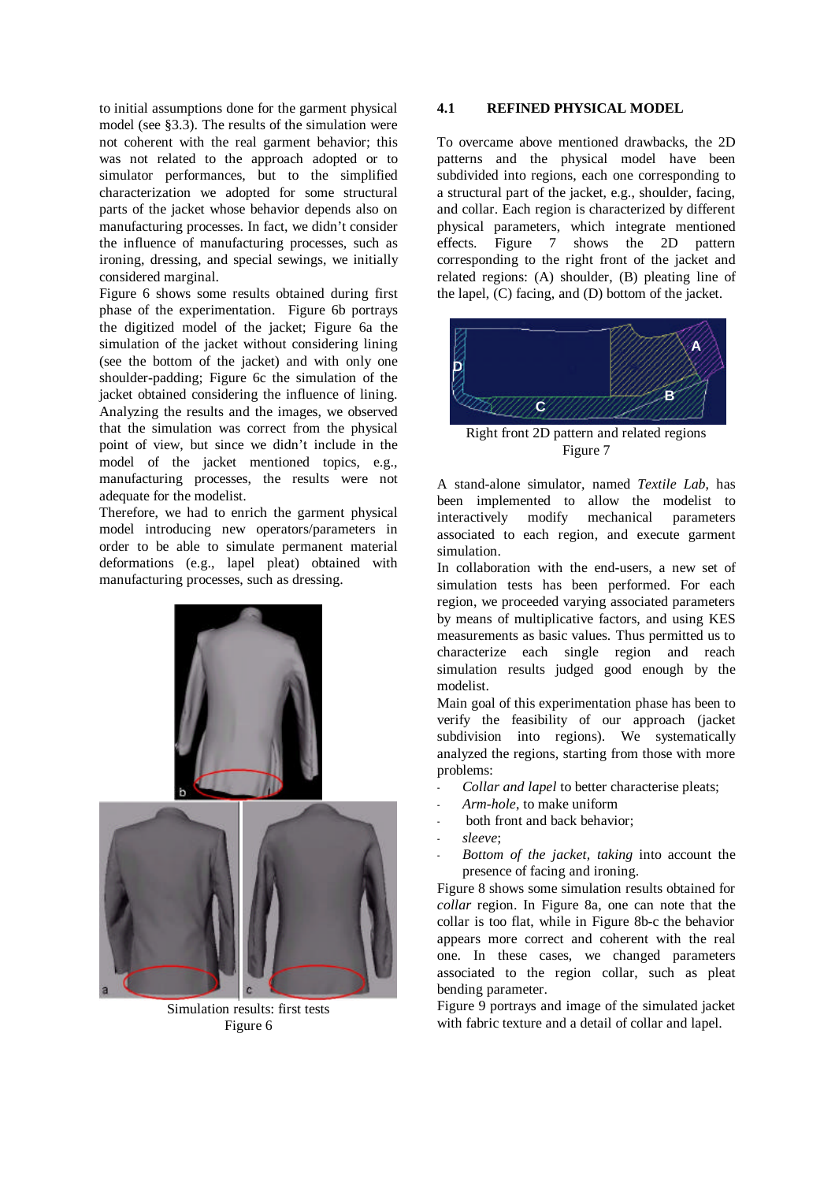to initial assumptions done for the garment physical model (see §3.3). The results of the simulation were not coherent with the real garment behavior; this was not related to the approach adopted or to simulator performances, but to the simplified characterization we adopted for some structural parts of the jacket whose behavior depends also on manufacturing processes. In fact, we didn't consider the influence of manufacturing processes, such as ironing, dressing, and special sewings, we initially considered marginal.

Figure 6 shows some results obtained during first phase of the experimentation. Figure 6b portrays the digitized model of the jacket; Figure 6a the simulation of the jacket without considering lining (see the bottom of the jacket) and with only one shoulder-padding; Figure 6c the simulation of the jacket obtained considering the influence of lining. Analyzing the results and the images, we observed that the simulation was correct from the physical point of view, but since we didn't include in the model of the jacket mentioned topics, e.g., manufacturing processes, the results were not adequate for the modelist.

Therefore, we had to enrich the garment physical model introducing new operators/parameters in order to be able to simulate permanent material deformations (e.g., lapel pleat) obtained with manufacturing processes, such as dressing.



Simulation results: first tests Figure 6

#### **4.1 REFINED PHYSICAL MODEL**

To overcame above mentioned drawbacks, the 2D patterns and the physical model have been subdivided into regions, each one corresponding to a structural part of the jacket, e.g., shoulder, facing, and collar. Each region is characterized by different physical parameters, which integrate mentioned effects. Figure 7 shows the 2D pattern corresponding to the right front of the jacket and related regions: (A) shoulder, (B) pleating line of the lapel, (C) facing, and (D) bottom of the jacket.



Right front 2D pattern and related regions Figure 7

A stand-alone simulator, named *Textile Lab*, has been implemented to allow the modelist to interactively modify mechanical parameters associated to each region, and execute garment simulation.

In collaboration with the end-users, a new set of simulation tests has been performed. For each region, we proceeded varying associated parameters by means of multiplicative factors, and using KES measurements as basic values. Thus permitted us to characterize each single region and reach simulation results judged good enough by the modelist.

Main goal of this experimentation phase has been to verify the feasibility of our approach (jacket subdivision into regions). We systematically analyzed the regions, starting from those with more problems:

- Collar and lapel to better characterise pleats;
- *Arm-hole*, to make uniform
- both front and back behavior:
- *sleeve*;
- *Bottom of the jacket, taking* into account the presence of facing and ironing.

Figure 8 shows some simulation results obtained for *collar* region. In Figure 8a, one can note that the collar is too flat, while in Figure 8b-c the behavior appears more correct and coherent with the real one. In these cases, we changed parameters associated to the region collar, such as pleat bending parameter.

Figure 9 portrays and image of the simulated jacket with fabric texture and a detail of collar and lapel.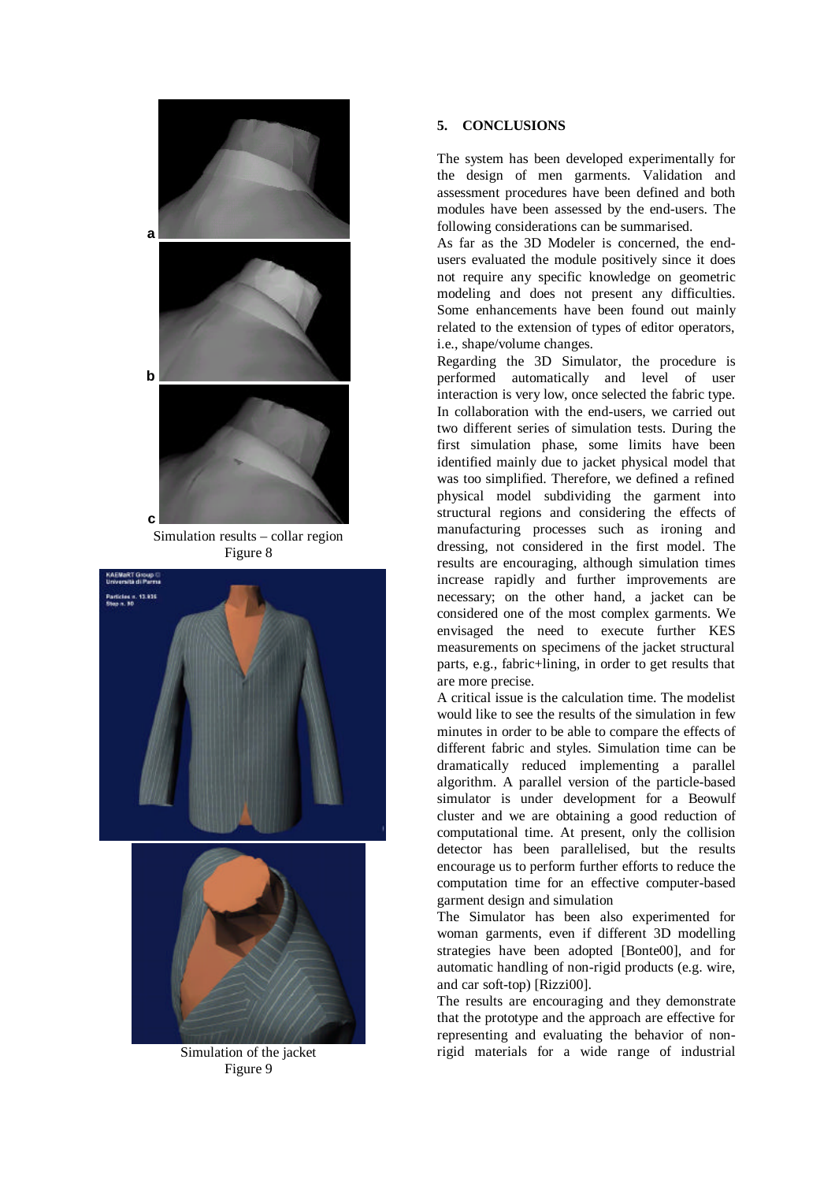

Simulation results – collar region Figure 8





Simulation of the jacket Figure 9

# **5. CONCLUSIONS**

The system has been developed experimentally for the design of men garments. Validation and assessment procedures have been defined and both modules have been assessed by the end-users. The following considerations can be summarised.

As far as the 3D Modeler is concerned, the endusers evaluated the module positively since it does not require any specific knowledge on geometric modeling and does not present any difficulties. Some enhancements have been found out mainly related to the extension of types of editor operators, i.e., shape/volume changes.

Regarding the 3D Simulator, the procedure is performed automatically and level of user interaction is very low, once selected the fabric type. In collaboration with the end-users, we carried out two different series of simulation tests. During the first simulation phase, some limits have been identified mainly due to jacket physical model that was too simplified. Therefore, we defined a refined physical model subdividing the garment into structural regions and considering the effects of manufacturing processes such as ironing and dressing, not considered in the first model. The results are encouraging, although simulation times increase rapidly and further improvements are necessary; on the other hand, a jacket can be considered one of the most complex garments. We envisaged the need to execute further KES measurements on specimens of the jacket structural parts, e.g., fabric+lining, in order to get results that are more precise.

A critical issue is the calculation time. The modelist would like to see the results of the simulation in few minutes in order to be able to compare the effects of different fabric and styles. Simulation time can be dramatically reduced implementing a parallel algorithm. A parallel version of the particle-based simulator is under development for a Beowulf cluster and we are obtaining a good reduction of computational time. At present, only the collision detector has been parallelised, but the results encourage us to perform further efforts to reduce the computation time for an effective computer-based garment design and simulation

The Simulator has been also experimented for woman garments, even if different 3D modelling strategies have been adopted [Bonte00], and for automatic handling of non-rigid products (e.g. wire, and car soft-top) [Rizzi00].

The results are encouraging and they demonstrate that the prototype and the approach are effective for representing and evaluating the behavior of nonrigid materials for a wide range of industrial